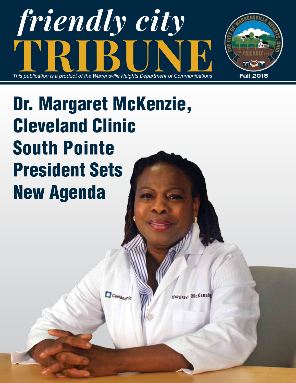



# Dr. Margaret McKenzie, Cleveland Clinic South Pointe President Sets New Agenda

Cinelandhic

Margard McKenzie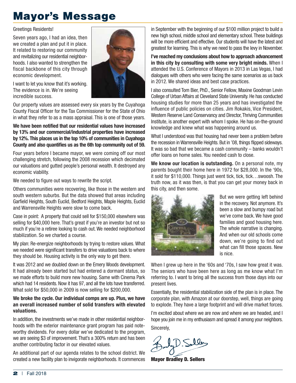## Mayor's Message

Greetings Residents!

Seven years ago, I had an idea, then we created a plan and put it in place. It related to restoring our community and revitalizing our residential neighborhoods. I also wanted to strengthen the fiscal backbone of this city through economic development.



I want to let you know that it's working. The evidence is in. We're seeing incredible success.

Our property values are assessed every six years by the Cuyahoga County Fiscal Officer for the Tax Commissioner for the State of Ohio in what they refer to as a mass appraisal. This is one of those years.

#### **We have been notified that our residential values have increased by 13% and our commercial/industrial properties have increased by 12%. This places us in the top 10% of communities in Cuyahoga County and also quantifies us as the 6th top community out of 59.**

Four years before I became mayor, we were coming off our most challenging stretch, following the 2008 recession which decimated our valuations and gutted people's personal wealth. It destroyed any economic viability.

We needed to figure out ways to rewrite the script.

Others communities were recovering, like those in the western and south western suburbs. But the data showed that areas including Garfield Heights, South Euclid, Bedford Heights, Maple Heights, Euclid and Warrensville Heights were slow to come back.

Case in point: A property that could sell for \$150,000 elsewhere was selling for \$40,000 here. That's great if you're an investor but not so much if you're a retiree looking to cash out. We needed neighborhood stabilization. So we charted a course.

My plan: Re-energize neighborhoods by trying to restore values. What we needed were significant transfers to drive valuations back to where they should be. Housing activity is the only way to get there.

It was 2012 and we doubled down on the Emery Woods development. It had already been started but had entered a dormant status, so we made efforts to build more new housing. Same with Cinema Park which had 14 residents. Now it has 97, and all the lots have transferred. What sold for \$50,000 in 2009 is now selling for \$200,000.

#### **We broke the cycle. Our individual comps are up. Plus, we have an overall increased number of solid transfers with elevated valuations.**

In addition, the investments we've made in other residential neighborhoods with the exterior maintenance grant program has paid noteworthy dividends. For every dollar we've dedicated to the program, we are seeing \$3 of improvement. That's a 300% return and has been another contributing factor in our elevated values.

An additional part of our agenda relates to the school district. We created a new facility plan to invigorate neighborhoods. It commences in September with the beginning of our \$100 million project to build a new high school, middle school and elementary school. These buildings will be more efficient and effective. Our students will have the latest and greatest for learning. This is why we need to pass the levy in November.

**I've reached my conclusions about how to approach advancement in this city by consulting with some very bright minds.** When I attended the U.S. Conference of Mayors in 2013 in Las Vegas, I had dialogues with others who were facing the same scenarios as us back in 2012. We shared ideas and best case practices.

I also consulted Tom Bier, PhD., Senior Fellow, Maxine Goodman Levin College of Urban Affairs at Cleveland State University. He has conducted housing studies for more than 25 years and has investigated the influence of public policies on cities. Jim Rokakis, Vice President, Western Reserve Land Conservancy and Director, Thriving Communities Institute, is another expert with whom I spoke. He has on-the-ground knowledge and knew what was happening around us.

What I understood was that housing had never been a problem before the recession in Warrensville Heights. But in '08, things flipped sideways. It was so bad that we became a cash community – banks wouldn't offer loans on home sales. You needed cash to close.

**We know our location is outstanding.** On a personal note, my parents bought their home here in 1972 for \$28,000. In the '90s, it sold for \$110,000. Things just went tick, tick, tick…swoosh. The truth now, as it was then, is that you can get your money back in this city, and then some.



But we were getting left behind in the recovery. Not anymore. It's been a slow and bumpy road but we've come back. We have good families and good housing here. The whole narrative is changing. And when our old schools come down, we're going to find out what can fill those spaces. New is nice.

When I grew up here in the '60s and '70s, I saw how great it was. The seniors who have been here as long as me know what I'm referring to. I want to bring all the success from those days into our present lives.

Essentially, the residential stabilization side of the plan is in place. The corporate plan, with Amazon at our doorstep, well, things are going to explode. They have a large footprint and will drive market forces.

I'm excited about where we are now and where we are headed, and I hope you join me in my enthusiasm and spread it among your neighbors. Sincerely,

D. Solly

Mayor Bradley D. Sellers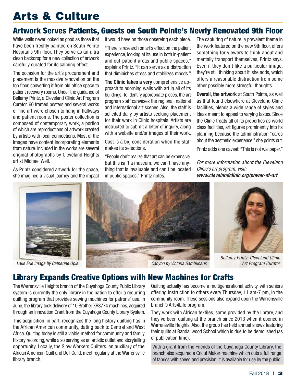## Arts & Culture

### Artwork Serves Patients, Guests on South Pointe's Newly Renovated 9th Floor

White walls never looked as good as those that have been freshly painted on South Pointe Hospital's 9th floor. They serve as an ultra clean backdrop for a new collection of artwork carefully curated for its calming effect.

The occasion for the art's procurement and placement is the massive renovation on the top floor, converting it from old office space to patient recovery rooms. Under the guidance of Bellamy Printz, a Cleveland Clinic Art Program Curator, 60 framed posters and several works of fine art were chosen to hang in hallways and patient rooms. The poster collection is composed of contemporary work, a portion of which are reproductions of artwork created by artists with local connections. Most of the images have content incorporating elements from nature. Included in the works are several original photographs by Cleveland Heights artist Michael Weil.

As Printz considered artwork for the space, she imagined a visual journey and the impact it would have on those observing each piece.

"There is research on art's effect on the patient experience, looking at its use in both in-patient and out-patient areas and public spaces," explains Printz. "It can serve as a distraction that diminishes stress and stabilizes moods."

**The Clinic takes a very** comprehensive approach to adorning walls with art in all of its buildings. To identify appropriate pieces, the art program staff canvases the regional, national and international art scenes. Also, the staff is solicited daily by artists seeking placement for their work in Clinic hospitals. Artists are instructed to submit a letter of inquiry, along with a website and/or images of their work.

Cost is a big consideration when the staff makes its selections.

"People don't realize that art can be expensive. But this isn't a museum, we can't have anything that is invaluable and can't be located in public spaces," Printz notes.

The capturing of nature, a prevalent theme in the work featured on the new 9th floor, offers something for viewers to think about and mentally transport themselves, Printz says. Even if they don't like a particular image, they're still thinking about it, she adds, which offers a reasonable distraction from some other possibly more stressful thoughts.

**Overall, the artwork** at South Pointe, as well as that found elsewhere at Cleveland Clinic facilities, blends a wide range of styles and ideas meant to appeal to varying tastes. Since the Clinic treats all of its properties as world class facilities, art figures prominently into its planning because the administration "cares about the aesthetic experience," she points out.

Printz adds one caveat: "This is not wallpaper."

*For more information about the Cleveland Clinic's art program, visit: www.clevelandclinic.org/power-of-art*









*Bellamy Printz, Cleveland Clinic*

### Library Expands Creative Options with New Machines for Crafts

The Warrensville Heights branch of the Cuyahoga County Public Library system is currently the only library in the nation to offer a recurring quilting program that provides sewing machines for patrons' use. In June, the library took delivery of 10 Brother XR3774 machines, acquired through an Innovation Grant from the Cuyahoga County Library System.

This acquisition, in part, recognizes the long history quilting has in the African American community, dating back to Central and West Africa. Quilting today is still a viable method for community and family history recording, while also serving as an artistic outlet and storytelling opportunity. Locally, the Slow Workers Quilters, an auxiliary of the African American Quilt and Doll Guild, meet regularly at the Warrensville library branch.

Quilting actually has become a multigenerational activity, with seniors offering instruction to others every Thursday, 11 am-7 pm, in the community room. These sessions also expand upon the Warrensville branch's Arts4Life program.

They work with African textiles, some provided by the library, and they've been quilting at the branch since 2013 when it opened in Warrensville Heights. Also, the group has held annual shows featuring their quilts at Randallwood School which is due to be demolished (as of publication time).

With a grant from the Friends of the Cuyahoga County Library, the branch also acquired a Cricut Maker machine which cuts a full range of fabrics with speed and precision. It is available for use by the public.

 $Fall 2018 |$  3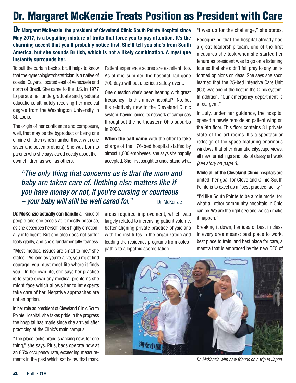## Dr. Margaret McKenzie Treats Position as President with Care

**Dr. Margaret McKenzie, the president of Cleveland Clinic South Pointe Hospital since May 2017, is a beguiling mixture of traits that force you to pay attention. It's the charming accent that you'll probably notice first. She'll tell you she's from South America, but she sounds British, which is not a likely combination. A mystique instantly surrounds her.**

To pull the curtain back a bit, it helps to know that the gynecologist/obstetrician is a native of coastal Guyana, located east of Venezuela and north of Brazil. She came to the U.S. in 1977 to pursue her undergraduate and graduate educations, ultimately receiving her medical degree from the Washington University in St. Louis.

The origin of her confidence and composure, well, that may be the byproduct of being one of nine children (she's number three, with one sister and seven brothers). She was born to parents who she says cared deeply about their own children as well as others.

Patient experience scores are excellent, too. As of mid-summer, the hospital had gone 700 days without a serious safety event.

One question she's been hearing with great frequency: "Is this a new hospital?" No, but it's relatively new to the Cleveland Clinic system, having joined its network of campuses throughout the northeastern Ohio suburbs in 2008.

**When the call came** with the offer to take charge of the 176-bed hospital staffed by almost 1,000 employees, she says she happily accepted. She first sought to understand what

### *"The only thing that concerns us is that the mom and baby are taken care of. Nothing else matters like if you have money or not, if you're cursing or courteous – your baby will still be well cared for."* – Dr. McKenzie

**Dr. McKenzie actually can handle** all kinds of people and she excels at it mostly because, as she describes herself, she's highly emotionally intelligent. But she also does not suffer fools gladly, and she's fundamentally fearless.

"Most medical issues are small to me," she states. "As long as you're alive, you must find courage, you must meet life where it finds you." In her own life, she says her practice is to stare down any medical problems she might face which allows her to let experts take care of her. Negative approaches are not an option.

In her role as president of Cleveland Clinic South Pointe Hospital, she takes pride in the progress the hospital has made since she arrived after practicing at the Clinic's main campus.

"The place looks brand spanking new, for one thing," she says. Plus, beds operate now at an 85% occupancy rate, exceeding measurements in the past which sat below that mark.

areas required improvement, which was largely related to increasing patient volume, better aligning private practice physicians with the institutes in the organization and leading the residency programs from osteopathic to allopathic accreditation.

"I was up for the challenge," she states.

Recognizing that the hospital already had a great leadership team, one of the first measures she took when she started her tenure as president was to go on a listening tour so that she didn't fall prey to any uninformed opinions or ideas. She says she soon learned that the 25-bed Intensive Care Unit (ICU) was one of the best in the Clinic system. In addition, "Our emergency department is a real gem."

In July, under her guidance, the hospital opened a newly remodeled patient wing on the 9th floor. This floor contains 31 private state-of-the-art rooms. It's a spectacular redesign of the space featuring enormous windows that offer dramatic cityscape views, all new furnishings and lots of classy art work *(see story on page 3).* 

**While all of the Cleveland Clinic** hospitals are united, her goal for Cleveland Clinic South Pointe is to excel as a "best practice facility."

"I'd like South Pointe to be a role model for what all other community hospitals in Ohio can be. We are the right size and we can make it happen."

Breaking it down, her idea of best in class in every area means: best place to work, best place to train, and best place for care, a mantra that is embraced by the new CEO of



*Dr. McKenzie with new friends on a trip to Japan.*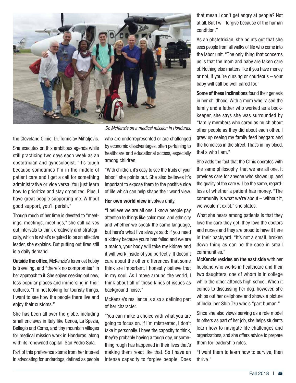

*Dr. McKenzie on a medical mission in Honduras.*

the Cleveland Clinic, Dr. Tomislav Mihaljevic.

She executes on this ambitious agenda while still practicing two days each week as an obstetrician and gynecologist. "It's tough because sometimes I'm in the middle of patient care and I get a call for something administrative or vice versa. You just learn how to prioritize and stay organized. Plus, I have great people supporting me. Without good support, you'll perish."

Though much of her time is devoted to "meetings, meetings, meetings," she still carves out intervals to think creatively and strategically, which is what's required to be an effective leader, she explains. But putting out fires still is a daily demand.

**Outside the office, McKenzie's foremost hobby** is traveling, and "there's no compromise" in her approach to it. She enjoys seeking out new, less popular places and immersing in their cultures. "I'm not looking for touristy things, I want to see how the people there live and enjoy their customs."

She has been all over the globe, including small enclaves in Italy like Genoa, La Spezia, Bellagio and Como, and tiny mountain villages for medical mission work in Honduras, along with its renowned capital, San Pedro Sula.

Part of this preference stems from her interest in advocating for underdogs, defined as people who are underrepresented or are challenged by economic disadvantages, often pertaining to healthcare and educational access, especially among children.

"With children, it's easy to see the fruits of your labor," she points out. She also believes it's important to expose them to the positive side of life which can help shape their world view.

#### **Her own world view** involves unity.

"I believe we are all one. I know people pay attention to things like color, race, and ethnicity and whether we speak the same language, but here's what I've always said: If you need a kidney because yours has failed and we are a match, your body will take my kidney and it will work inside of you perfectly. It doesn't care about the other differences that some think are important. I honestly believe that in my soul. As I move around the world, I think about all of these kinds of issues as background noise."

McKenzie's resilience is also a defining part of her character.

"You can make a choice with what you are going to focus on. If I'm mistreated, I don't take it personally. I have the capacity to think, they're probably having a tough day, or something rough has happened in their lives that's making them react like that. So I have an intense capacity to forgive people. Does

that mean I don't get angry at people? Not at all. But I will forgive because of the human condition."

As an obstetrician, she points out that she sees people from all walks of life who come into the labor unit. "The only thing that concerns us is that the mom and baby are taken care of. Nothing else matters like if you have money or not, if you're cursing or courteous – your baby will still be well cared for."

**Some of these inclinations** found their genesis in her childhood. With a mom who raised the family and a father who worked as a bookkeeper, she says she was surrounded by "family members who cared as much about other people as they did about each other. I grew up seeing my family feed beggars and the homeless in the street. That's in my blood, that's who I am."

She adds the fact that the Clinic operates with the same philosophy, that we are all one. It provides care for anyone who shows up, and the quality of the care will be the same, regardless of whether a patient has money. "The community is what we're about – without it, we wouldn't exist," she states.

What she hears among patients is that they love the care they get, they love the doctors and nurses and they are proud to have it here in their backyard. "It's not a small, broken down thing as can be the case in small communities."

**McKenzie resides on the east side** with her husband who works in healthcare and their two daughters, one of whom is in college while the other attends high school. When it comes to discussing her dog, however, she whips out her cellphone and shows a picture of India, her Shih Tzu who's "part human."

Since she also views serving as a role model to others as part of her job, she helps students learn how to navigate life challenges and organizations, and she offers advice to prepare them for leadership roles.

"I want them to learn how to survive, then thrive."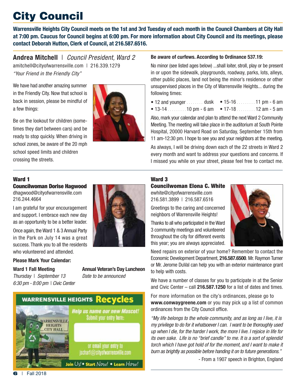## City Council

**Warrensville Heights City Council meets on the 1st and 3rd Tuesday of each month in the Council Chambers at City Hall at 7:00 pm. Caucus for Council begins at 6:00 pm. For more information about City Council and its meetings, please contact Deborah Hutton, Clerk of Council, at 216.587.6516.**

**Andrea Mitchell** | *Council President, Ward 2* amitchell@cityofwarrensville.com | 216.339.1279 *"Your Friend in the Friendly City"* 

We have had another amazing summer in the Friendly City. Now that school is back in session, please be mindful of a few things:

Be on the lookout for children (sometimes they dart between cars) and be ready to stop quickly. When driving in school zones, be aware of the 20 mph school speed limits and children crossing the streets.



#### **Be aware of curfews. According to Ordinance 537.19:**

No minor (see listed ages below) ...shall loiter, stroll, play or be present in or upon the sidewalk, playgrounds, roadway, parks, lots, alleys, other public places, land not being the minor's residence or other unsupervised places in the City of Warrensville Heights... during the following times:

- 12 and younger  $\ldots$  dusk 15-16  $\ldots$  11 pm 6 am
- 13-14  $\ldots$  10 pm 6 am 17-18  $\ldots$  12 am 5 am

Also, mark your calendar and plan to attend the next Ward 2 Community Meeting. The meeting will take place in the auditorium at South Pointe Hospital, 20000 Harvard Road on Saturday, September 15th from 11 am-12:30 pm. I hope to see you and your neighbors at the meeting.

As always, I will be driving down each of the 22 streets in Ward 2 every month and want to address your questions and concerns. If I missed you while on your street, please feel free to contact me.

#### Ward 1

Councilwoman Dorise Hagwood dhagwood@cityofwarrensville.com 216.244.4664

I am grateful for your encouragement and support. I embrace each new day as an opportunity to be a better leader.

Once again, the Ward 1 & 3 Annual Party in the Park on July 14 was a great success. Thank you to all the residents who volunteered and attended.

#### **Please Mark Your Calendar:**

**Ward 1 Fall Meeting Annual Veteran's Day Luncheon**

*Thursday* | *September 13 Date to be announced 6:30 pm - 8:00 pm* | *Civic Center*

> **MARRENSVILLE HEIGHTS CITY HALL**

**WARRENSVILLE HEIGHTS Recycles** 

**Help us name our new Mascot!** Submit your entry here:

> or email your entry to jschart@cityofwarrensville.com

Join Us! • Start Now! • Learn How!

#### Ward 3

Councilwoman Elona C. White ewhite@cityofwarrensville.com

216.581.3899 | 216.587.6516

Greetings to the caring and concerned neighbors of Warrensville Heights!

Thanks to all who participated in the Ward 3 community meetings and volunteered throughout the city for different events this year; you are always appreciated.

Need repairs on exterior of your home? Remember to contact the Economic Development Department, **216.587.6500**. Mr. Raymon Turner or Mr. Jerome DuVal can help you with an exterior maintenance grant to help with costs.

We have a number of classes for you to participate in at the Senior and Civic Center – call **216.587.1250** for a list of dates and times.

For more information on the city's ordinances, please go to **www.conwaygreene.com** or you may pick up a list of common ordinances from the City Council office.

*"My life belongs to the whole community, and as long as I live, it is my privilege to do for it whatsoever I can. I want to be thoroughly used up when I die, for the harder I work, the more I live. I rejoice in life for its own sake. Life is no "brief candle" to me. It is a sort of splendid torch which I have got hold of for the moment, and I want to make it burn as brightly as possible before handing it on to future generations."*

- From a 1907 speech in Brighton, England

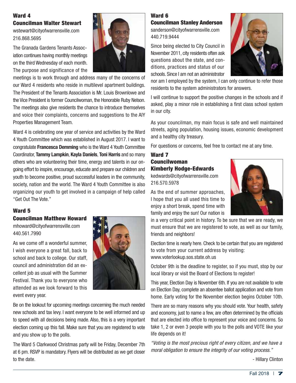#### Ward 4 Councilman Walter Stewart

wstewart@cityofwarrensville.com 216.868.5695

The Granada Gardens Tenants Association continues having monthly meetings on the third Wednesday of each month. The purpose and significance of the

meetings is to work through and address many of the concerns of

our Ward 4 residents who reside in multilevel apartment buildings. The President of the Tenants Association is Mr. Louis Brownlowe and the Vice President is former Councilwoman, the Honorable Ruby Nelson. The meetings also give residents the chance to introduce themselves and voice their complaints, concerns and suggestions to the AIY Properties Management Team.

Ward 4 is celebrating one year of service and activities by the Ward 4 Youth Committee which was established in August 2017. I want to congratulate **Francesca Demming** who is the Ward 4 Youth Committee Coordinator, **Tammy Lampkin**, **Kayla Daniels**, **Toni Harris** and so many others who are volunteering their time, energy and talents in our ongoing effort to inspire, encourage, educate and prepare our children and youth to become positive, proud successful leaders in the community, society, nation and the world. The Ward 4 Youth Committee is also organizing our youth to get involved in a campaign of help called "Get Out The Vote."

#### Ward 5

#### Councilman Matthew Howard

mhoward@cityofwarrensville.com 440.561.7990

As we come off a wonderful summer, I wish everyone a great fall, back to school and back to college. Our staff, council and administration did an excellent job as usual with the Summer Festival. Thank you to everyone who attended as we look forward to this event every year.



Be on the lookout for upcoming meetings concerning the much needed new schools and tax levy. I want everyone to be well informed and up to speed with all decisions being made. Also, this is a very important election coming up this fall. Make sure that you are registered to vote and you show up to the polls.

The Ward 5 Clarkwood Christmas party will be Friday, December 7th at 6 pm. RSVP is mandatory. Flyers will be distributed as we get closer to the date.

#### Ward 6 Councilman Stanley Anderson

sanderson@cityofwarrensville.com 440.719.9444

Since being elected to City Council in November 2011, city residents often ask questions about the state, and conditions, practices and status of our schools. Since I am not an administrator



nor am I employed by the system, I can only continue to refer those residents to the system administrators for answers.

I will continue to support the positive changes in the schools and if asked, play a minor role in establishing a first class school system in our city.

As your councilman, my main focus is safe and well maintained streets, aging population, housing issues, economic development and a healthy city treasury.

For questions or concerns, feel free to contact me at any time.

#### Ward 7 Councilwoman Kimberly Hodge-Edwards

kedwards@cityofwarrensville.com 216.570.5978

As the end of summer approaches, I hope that you all used this time to enjoy a short break, spend time with family and enjoy the sun! Our nation is



in a very critical point in history. To be sure that we are ready, we must ensure that we are registered to vote, as well as our family, friends and neighbors!

Election time is nearly here. Check to be certain that you are registered to vote from your current address by visiting: www.voterlookup.sos.state.oh.us

October 9th is the deadline to register, so if you must, stop by our local library or visit the Board of Elections to register!

This year, Election Day is November 6th. If you are not available to vote on Election Day, complete an absentee ballot application and vote from home. Early voting for the November election begins October 10th.

There are so many reasons why you should vote. Your health, safety and economy, just to name a few, are often determined by the officials that are elected into office to represent your voice and concerns. So take 1, 2 or even 3 people with you to the polls and VOTE like your life depends on it!

*"Voting is the most precious right of every citizen, and we have a moral obligation to ensure the integrity of our voting process."*

- Hillary Clinton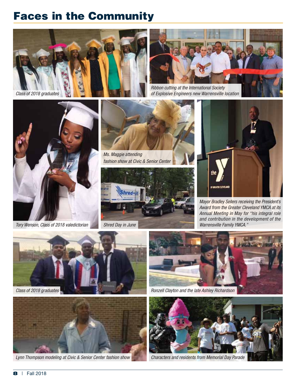## Faces in the Community





*of Explosive Engineers new Warrensville location*



*Tory Wenson, Class of 2018 valedictorian*



*Ms. Maggie attending fashion show at Civic & Senior Center*





*Mayor Bradley Sellers receiving the President's Award from the Greater Cleveland YMCA at its Annual Meeting in May for "his integral role and contribution in the development of the Warrensville Family YMCA."*





*Lynn Thompson modeling at Civic & Senior Center fashion show*



*Ronzell Clayton and the late Ashley Richardson*



*Characters and residents from Memorial Day Parade*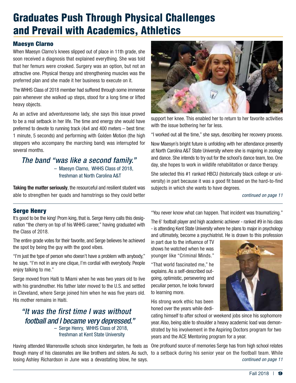## Graduates Push Through Physical Challenges and Prevail with Academics, Athletics

#### Maesyn Clarno

When Maesyn Clarno's knees slipped out of place in 11th grade, she soon received a diagnosis that explained everything. She was told that her femurs were crooked. Surgery was an option, but not an attractive one. Physical therapy and strengthening muscles was the preferred plan and she made it her business to execute on it.

The WHHS Class of 2018 member had suffered through some immense pain whenever she walked up steps, stood for a long time or lifted heavy objects.

As an active and adventuresome lady, she says this issue proved to be a real setback in her life. The time and energy she would have preferred to devote to running track (4x4 and 400 meters – best time: 1 minute, 5 seconds) and performing with Golden Motion (the high steppers who accompany the marching band) was interrupted for several months.

#### *The band "was like a second family."* – Maesyn Clarno, WHHS Class of 2018, freshman at North Carolina A&T

**Taking the matter seriously**, the resourceful and resilient student was able to strengthen her quads and hamstrings so they could better



support her knee. This enabled her to return to her favorite activities with the issue bothering her far less.

"I worked out all the time," she says, describing her recovery process.

Now Maesyn's bright future is unfolding with her attendance presently at North Carolina A&T State University where she is majoring in zoology and dance. She intends to try out for the school's dance team, too. One day, she hopes to work in wildlife rehabilitation or dance therapy.

She selected this #1 ranked HBCU (historically black college or university) in part because it was a good fit based on the hard-to-find subjects in which she wants to have degrees.

*continued on page 11*

#### Serge Henry

It's good to be the king! Prom king, that is. Serge Henry calls this designation "the cherry on top of his WHHS career," having graduated with the Class of 2018.

The entire grade votes for their favorite, and Serge believes he achieved the spot by being the guy with the good vibes.

"I'm just the type of person who doesn't have a problem with anybody," he says. "I'm not in any one clique, I'm cordial with everybody. People enjoy talking to me."

Serge moved from Haiti to Miami when he was two years old to live with his grandmother. His father later moved to the U.S. and settled in Cleveland, where Serge joined him when he was five years old. His mother remains in Haiti.

#### *"It was the first time I was without football and I became very depressed."* – Serge Henry, WHHS Class of 2018, freshman at Kent State University

Having attended Warrensville schools since kindergarten, he feels as One profound source of memories Serge has from high school relates though many of his classmates are like brothers and sisters. As such, to a setback during his senior year on the football team. Whilelosing Ashley Richardson in June was a devastating blow, he says.

"You never know what can happen. That incident was traumatizing."

The 6' football player and high academic achiever - ranked #9 in his class - is attending Kent State University where he plans to major in psychology and ultimately, become a psychiatrist. He is drawn to this profession

in part due to the influence of TV shows he watched when he was younger like "Criminal Minds."

"That world fascinated me," he explains. As a self-described outgoing, optimistic, persevering and peculiar person, he looks forward to learning more.

His strong work ethic has been honed over the years while dedi-

cating himself to after school or weekend jobs since his sophomore year. Also, being able to shoulder a heavy academic load was demonstrated by his involvement in the Aspiring Doctors program for two years and the ACE Mentoring program for a year.

*continued on page 11*

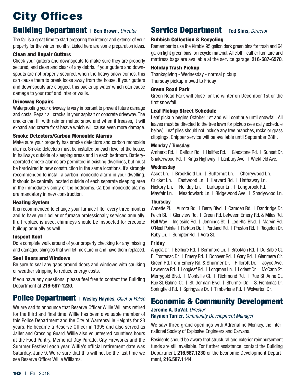## City Offices

### **Building Department** | Ben Brown, Director

The fall is a great time to start preparing the interior and exterior of your property for the winter months. Listed here are some preparation ideas.

#### Clean and Repair Gutters

Check your gutters and downspouts to make sure they are properly secured, and clean and clear of any debris. If your gutters and downspouts are not properly secured, when the heavy snow comes, this can cause them to break loose away from the house. If your gutters and downspouts are clogged, this backs up water which can cause damage to your roof and interior walls.

#### Driveway Repairs

Waterproofing your driveway is very important to prevent future damage and costs. Repair all cracks in your asphalt or concrete driveway. The cracks can fill with rain or melted snow and when it freezes, it will expand and create frost heave which will cause even more damage.

#### Smoke Detectors/Carbon Monoxide Alarms

Make sure your property has smoke detectors and carbon monoxide alarms. Smoke detectors must be installed on each level of the house, in hallways outside of sleeping areas and in each bedroom. Batteryoperated smoke alarms are permitted in existing dwellings, but must be hardwired in new construction in the same locations. It's strongly recommended to install a carbon monoxide alarm in your dwelling. It should be centrally located outside of each separate sleeping area in the immediate vicinity of the bedrooms. Carbon monoxide alarms are mandatory in new construction.

#### Heating System

It is recommended to change your furnace filter every three months and to have your boiler or furnace professionally serviced annually. If a fireplace is used, chimneys should be inspected for creosote buildup annually as well.

#### Inspect Roof

Do a complete walk around of your property checking for any missing and damaged shingles that will let moisture in and have them replaced.

#### Seal Doors and Windows

Be sure to seal any gaps around doors and windows with caulking or weather stripping to reduce energy costs.

If you have any questions, please feel free to contact the Building Department at **216-587-1230**.

## **Police Department** | Wesley Haynes, *Chief of Police*

We are sad to announce that Reserve Officer Willie Williams retired for the third and final time. Willie has been a valuable member of this Police Department and the City of Warrensville Heights for 23 years. He became a Reserve Officer in 1995 and also served as Jailer and Crossing Guard. Willie also volunteered countless hours at the Food Pantry, Memorial Day Parade, City Fireworks and the Summer Festival each year. Willie's official retirement date was Saturday, June 9. We're sure that this will not be the last time we see Reserve Officer Willie Williams.

### Service Department<sup>|</sup>**Ted Sims,** *Director*

#### Rubbish Collection & Recycling

Remember to use the Kimble 95 gallon dark green bins for trash and 64 gallon light green bins for recycle material. All cloth, leather furniture and mattress bags are available at the service garage, **216-587-6570**.

#### Holiday Trash Pickup

Thanksgiving - Wednesday - normal pickup Thursday pickup moved to Friday

#### Green Road Park

Green Road Park will close for the winter on December 1st or the first snowfall.

#### Leaf Pickup Street Schedule

Leaf pickup begins October 1st and will continue until snowfall. All leaves must be directed to the tree lawn for pickup (see daily schedule below). Leaf piles should not include any tree branches, rocks or grass clippings. Chipper service will be available until September 28th.

#### **Monday / Tuesday:**

Amherst Rd. | Balfour Rd. | Halifax Rd. | Gladstone Rd. | Sunset Dr. Shakerwood Rd. | Kings Highway | Lanbury Ave. | Wickfield Ave.

#### **Wednesday**

Ascot Ln. | Brookfield Ln. | Butternut Ln. | Cherrywood Ln. Cricket Ln. | Eastwood Ln. | Harvard Rd. | Hathaway Ln. Hickory Ln. | Holiday Ln. | Larkspur Ln. | Longbrook Rd. Mayfair Ln. | Meadowlark Ln. | Ridgewood Ave. | Shadywood Ln.

#### **Thursday**

Annette Pl. | Aurora Rd. | Berry Blvd. | Camden Rd. | Dandridge Dr. Felch St. | Glenview Rd. | Green Rd. between Emery Rd. & Miles Rd. Hall Way | Ingleside Rd. | Jennings St. | Lee Hts. Blvd. | Marvin Rd. O'Neal Pointe | Parkton Dr. | Portland Rd. | Preston Rd. | Ridgeton Dr. Ruby Ln. | Sumpter Rd. | Vera St.

#### **Friday**

Angela Dr. | Belfiore Rd. | Berrimore Ln. | Brookton Rd. | Du Sable Ct. E. Frontenac Dr. | Emery Rd. | Donover Rd. | Gary Rd. | Glenmere Cir. Green Rd. from Emery Rd. & Shurmer Dr. | Hillcroft Dr. | Joyce Ave. Lawrence Rd. | Longleaf Rd. | Longman Ln. | Lorient Dr. | McCann St. Merrygold Blvd. | Montville Ct. | Richmond Rd. | Rue St. Anne Ct. Rue St. Gabriel Ct. | St. Germain Blvd. | Shurmer Dr. | S. Frontenac Dr. Springfield Rd. | Springvale Dr. | Timberlane Rd. | Wolverton Dr.

### Economic & Community Development

#### **Jerome A. DuVal**, *Director*

**Raymon Turner**, *Community Development Manager*

We saw three grand openings with Adrenaline Monkey, the International Society of Explosive Engineers and Carvana.

Residents should be aware that structural and exterior reimbursement funds are still available. For further assistance, contact the Building Department, **216.587.1230** or the Economic Development Department, **216.587.1144**.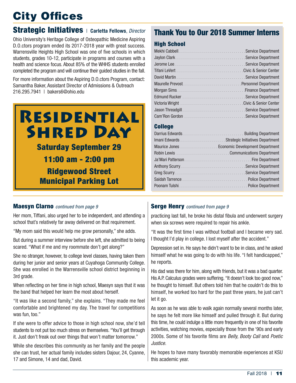## City Offices

### Strategic Initiatives<sup>|</sup>**Carletta Fellows**, *Director*

Ohio University's Heritage College of Osteopathic Medicine Aspiring D.O.ctors program ended its 2017-2018 year with great success. Warrensville Heights High School was one of five schools in which students, grades 10-12, participate in programs and courses with a health and science focus. About 85% of the WHHS students enrolled completed the program and will continue their guided studies in the fall.

For more information about the Aspiring D.O.ctors Program, contact: Samantha Baker, Assistant Director of Admissions & Outreach 216.295.7941 | bakers6@ohio.edu



### Thank You to Our 2018 Summer Interns

#### High School

#### College

#### Maesyn Clarno *continued from page 9*

Her mom, Tiffani, also urged her to be independent, and attending a school that's relatively far away delivered on that requirement.

"My mom said this would help me grow personally," she adds.

But during a summer interview before she left, she admitted to being scared. "What if me and my roommate don't get along?"

She no stranger, however, to college level classes, having taken them during her junior and senior years at Cuyahoga Community College. She was enrolled in the Warrensville school district beginning in 3rd grade.

When reflecting on her time in high school, Maesyn says that it was the band that helped her learn the most about herself.

"It was like a second family," she explains. "They made me feel comfortable and brightened my day. The travel for competitions was fun, too."

If she were to offer advice to those in high school now, she'd tell students to not put too much stress on themselves. "You'll get through it. Just don't freak out over things that won't matter tomorrow."

While she describes this community as her family and the people she can trust, her actual family includes sisters Dajour, 24, Cyanne, 17 and Simone, 14 and dad, David.

#### Serge Henry *continued from page 9*

practicing last fall, he broke his distal fibula and underwent surgery when six screws were required to repair his ankle.

"It was the first time I was without football and I became very sad. I thought I'd play in college. I lost myself after the accident."

Depression set in. He says he didn't want to be in class, and he asked himself what he was going to do with his life. "I felt handicapped," he reports.

His dad was there for him, along with friends, but it was a bad quarter. His A.P. Calculus grades were suffering. "It doesn't look too good now," he thought to himself. But others told him that he couldn't do this to himself, he worked too hard for the past three years, he just can't let it go.

As soon as he was able to walk again normally several months later, he says he felt more like himself and pulled through it. But during this time, he could indulge a little more frequently in one of his favorite activities, watching movies, especially those from the '90s and early 2000s. Some of his favorite films are *Belly, Booty Call* and *Poetic Justice.* 

He hopes to have many favorably memorable experiences at KSU this academic year.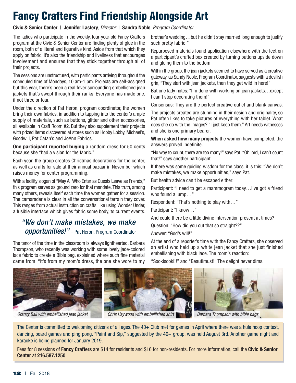## Fancy Crafters Find Friendship Alongside Art

#### **Civic & Senior Center** | **Jennifer Lastery**, *Director* | **Sandra Noble**, *Program Coordinator*

The ladies who participate in the weekly, four-year-old Fancy Crafters program at the Civic & Senior Center are finding plenty of glue in the room, both of a literal and figurative kind. Aside from that which they apply on fabric, it's also the friendship and liveliness that encourages involvement and ensures that they stick together through all of their projects.

The sessions are unstructured, with participants arriving throughout the scheduled time of Mondays, 10 am-1 pm. Projects are self-assigned but this year, there's been a real fever surrounding embellished jean jackets that's swept through their ranks. Everyone has made one, if not three or four.

Under the direction of Pat Heron, program coordinator, the women bring their own fabrics, in addition to tapping into the center's ample supply of materials, such as buttons, glitter and other accessories, all available in Craft Room #2. But they also supplement their projects with prized items discovered at stores such as Hobby Lobby, Michael's, Goodwill, Pat Catan's and JoAnn Fabrics.

**One participant reported buying** a random dress for 50 cents because she "had a vision for the fabric."

Each year, the group creates Christmas decorations for the center, as well as crafts for sale at their annual bazaar in November which raises money for center programming.

With a facility slogan of "May All Who Enter as Guests Leave as Friends," this program serves as ground zero for that mandate. This truth, among many others, reveals itself each time the women gather for a session. The camaraderie is clear in all the conversational terrain they cover. This ranges from actual instruction on crafts, like using Wonder Under, a fusible interface which gives fabric some body, to current events.

### *"We don't make mistakes, we make opportunities!"* – Pat Heron, Program Coordinator

The tenor of the time in the classroom is always lighthearted. Barbara Thompson, who recently was working with some lovely jade-colored lace fabric to create a Bible bag, explained where such fine material came from. "It's from my mom's dress, the one she wore to my

brother's wedding…but he didn't stay married long enough to justify such pretty fabric!"

Repurposed materials found application elsewhere with the feet on a participant's crafted box created by turning buttons upside down and gluing them to the bottom.

Within the group, the jean jackets seemed to have served as a creative gateway, as Sandy Noble, Program Coordinator, suggests with a devilish grin, "They start with jean jackets, then they get wild in here!"

But one lady notes: "I'm done with working on jean jackets…except I can't stop decorating them!"

Consensus: They are the perfect creative outlet and blank canvas.

The projects created are stunning in their design and originality, so Pat often likes to take pictures of everything with her tablet. What does she do with the images? "I just keep them." Art needs witnesses and she is one primary bearer.

**When asked how many projects** the women have completed, the answers proved indefinite.

"No way to count, there are too many!" says Pat. "Oh lord, I can't count that!" says another participant.

If there was some guiding wisdom for the class, it is this: "We don't make mistakes, we make opportunities," says Pat.

But health advice can't be escaped either:

Participant: "I need to get a mammogram today…I've got a friend who found a lump…"

Respondent: "That's nothing to play with…"

Participant: "I know…"

And could there be a little divine intervention present at times?

Question: "How did you cut that so straight??"

Answer: "God's will!"

At the end of a reporter's time with the Fancy Crafters, she observed an artist who held up a white jean jacket that she just finished embellishing with black lace. The room's reaction:

"Sookisooki!!" and "Beautimust!" The delight never dims.



*Orancy Ball with embellished jean jacket Chris Haywood with embellished shirt Barbara Thompson with bible bags*

The Center is committed to welcoming citizens of all ages. The 40+ Club met for games in April where there was a hula hoop contest, dancing, board games and ping pong. "Paint and Sip," suggested by the 40+ group, was held August 3rd. Another game night and karaoke is being planned for January 2019.

Fees for 8 sessions of **Fancy Crafters** are \$14 for residents and \$16 for non-residents. For more information, call the **Civic & Senior Center** at **216.587.1250**.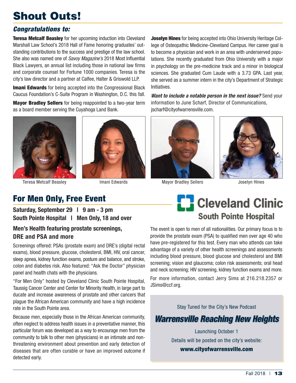## Shout Outs!

### *Congratulations to:*

**Teresa Metcalf Beasley** for her upcoming induction into Cleveland Marshall Law School's 2018 Hall of Fame honoring graduates' outstanding contributions to the success and prestige of the law school. She also was named one of *Savoy Magazine's* 2018 Most Influential Black Lawyers, an annual list including those in national law firms and corporate counsel for Fortune 1000 companies. Teresa is the city's law director and a partner at Calfee, Halter & Griswold LLP.

**Imani Edwards** for being accepted into the Congressional Black Caucus Foundation's C-Suite Program in Washington, D.C. this fall.

Mayor Bradley Sellers for being reappointed to a two-year term as a board member serving the Cuyahoga Land Bank.



## For Men Only, Free Event

**Saturday, September 29 | 9 am - 3 pm South Pointe Hospital | Men Only, 18 and over**

#### **Men's Health featuring prostate screenings, DRE and PSA and more**

Screenings offered: PSAs (prostate exam) and DRE's (digital rectal exams), blood pressure, glucose, cholesterol, BMI, HIV, oral cancer, sleep apnea, kidney function exams, posture and balance, and stroke, colon and diabetes risk. Also featured: "Ask the Doctor" physician panel and health chats with the physicians.

"For Men Only" hosted by Cleveland Clinic South Pointe Hospital, Taussig Cancer Center and Center for Minority Health, in large part to ducate and increase awareness of prostate and other cancers that plague the African American community and have a high incidence rate in the South Pointe area.

Because men, especially those in the African American community, often neglect to address health issues in a preventative manner, this particular forum was developed as a way to encourage men from the community to talk to other men (physicians) in an intimate and nonthreatening environment about prevention and early detection of diseases that are often curable or have an improved outcome if detected early.

**Joselyn Hines** for being accepted into Ohio University Heritage College of Osteopathic Medicine-Cleveland Campus. Her career goal is to become a physician and work in an area with underserved populations. She recently graduated from Ohio University with a major in psychology on the pre-medicine track and a minor in biological sciences. She graduated Cum Laude with a 3.73 GPA. Last year, she served as a summer intern in the city's Department of Strategic Initiatives.

*Want to include a notable person in the next issue?* Send your information to June Scharf, Director of Communications, jscharf@cityofwarrensville.com.



Teresa Metcalf Beasley **Imani Edwards** Mayor Bradley Sellers **Match Sellers** Joselyn Hines



## **E.** Cleveland Clinic **South Pointe Hospital**

The event is open to men of all nationalities. Our primary focus is to provide the prostate exam (PSA) to qualified men over age 40 who have pre-registered for this test. Every man who attends can take advantage of a variety of other health screenings and assessments including blood pressure, blood glucose and cholesterol and BMI screening; vision and glaucoma; colon risk assessments; oral head and neck screening; HIV screening, kidney function exams and more.

For more information, contact Jerry Sims at 216.218.2357 or JSims@ccf.org.

Stay Tuned for the City's New Podcast

## *Warrensville Reaching New Heights Warrensville Reaching New Heights*

Launching October 1 Details will be posted on the city's website: www.cityofwarrensville.com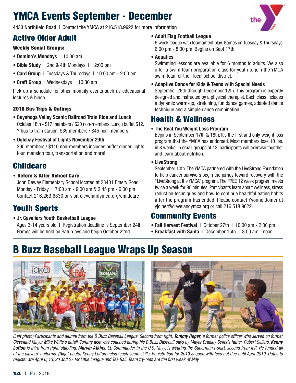## YMCA Events September - December



4433 Northfield Road | Contact the YMCA at 216.518.9622 for more information

## Active Older Adult

#### Weekly Social Groups:

- **Domino's Mondays** | 10:30 am
- **Bible Study** | 2nd & 4th Mondays | 12:00 pm
- **Card Group** | Tuesdays & Thursdays | 10:00 am 2:00 pm
- **Craft Group** | Wednesdays | 10:30 am

Pick up a schedule for other monthly events such as educational lectures & bingo.

#### 2018 Bus Trips & Outings

- **• Cuyahoga Valley Scenic Railroad Train Ride and Lunch** October 18th - \$17 members / \$20 non-members. Lunch buffet \$12. Y-bus to train station. \$35 members / \$45 non-members.
- **• Oglebay Festival of Lights November 29th** \$95 members / \$110 non-members includes buffet dinner, lights tour, mansion tour, transportation and more!

## **Childcare**

• Before & After School Care

John Dewey Elementary School located at 23401 Emery Road Monday - Friday | 7:00 am - 9:00 am & 3:45 pm - 6:00 pm Contact 216.263.6830 or visit clevelandymca.org/childcare

## Youth Sports

**• Jr. Cavaliers Youth Basketball League** Ages 3-14 years old | Registration deadline is September 24th Games will be held on Saturdays and begin October 22nd

#### **• Adult Flag Football League**

6 week league with tournament play. Games on Tuesday & Thursdays 6:00 pm - 8:00 pm. Begins on Sept 17th.

#### **• Aquatics**

Swimming lessons are available for 6 months to adults. We also offer a swim team preparation class for youth to join the YMCA swim team or their local school district.

**• Adaptive Dance for Kids & Teens with Special Needs**

September 26th through December 12th. This program is expertly designed and instructed by a physical therapist. Each class includes a dynamic warm-up, stretching, fun dance games, adapted dance technique and a simple dance combination.

### Health & Wellness

#### **• The Real You Weight Loss Program**

Begins in September 17th & 18th. It's the first and only weight loss program that the YMCA has endorsed. Most members lose 10 lbs. in 8 weeks. In small groups of 12, participants will exercise together and learn about nutrition.

#### **• LiveStrong**

September 10th. The YMCA partnered with the LiveStrong Foundation to help cancer survivors begin the jorney toward recovery with the "LiveStrong at the YMCA" program. The FREE 12 week program meets twice a week for 90 minutes. Participants learn about wellness, stress reduction techniques and how to continue healthful eating habits after the program has ended. Please contact Yvonne Joiner at yjoiner@clevelandymca.org or call 216.518.9622.

### Community Events

- **Fall Harvest Festival** | October 27th | 10:00 am 2:00 pm
- **Breakfast with Santa** | December 15th | 8:00 am noon

## B Buzz Baseball League Wraps Up Season



*(Left photo) Participants and alumni from the B Buzz Baseball League. Second from right, Tommy Roper, a former police officer who served on former Cleveland Mayor Mike White's detail. Tommy also was coached during his B Buzz Baseball days by Mayor Bradley Seller's father, Robert Sellers. Kenny Lofton is third from right, standing. Marvin Atkins, Lt. Commander in the U.S. Navy, is wearing the Superman t-shirt, second from left. He funded all of the players' uniforms. (Right photo) Kenny Lofton helps teach some skills. Registration for 2019 is open with fees not due until April 2019. Dates to register are April 6, 13, 20 and 27 for Little League and Tee Ball. Team try-outs are the first week of May.*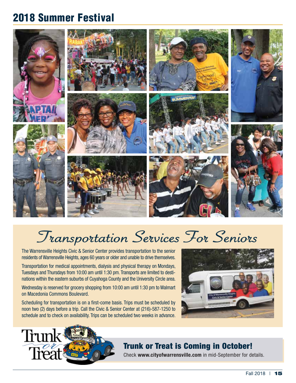## 2018 Summer Festival



# Transportation Services For Seniors

The Warrensville Heights Civic & Senior Center provides transportation to the senior residents of Warrensville Heights, ages 60 years or older and unable to drive themselves.

Transportation for medical appointments, dialysis and physical therapy on Mondays, Tuesdays and Thursdays from 10:00 am until 1:30 pm. Transports are limited to destinations within the eastern suburbs of Cuyahoga County and the University Circle area.

Wednesday is reserved for grocery shopping from 10:00 am until 1:30 pm to Walmart on Macedonia Commons Boulevard.

Scheduling for transportation is on a first-come basis. Trips must be scheduled by noon two (2) days before a trip. Call the Civic & Senior Center at (216)-587-1250 to schedule and to check on availability. Trips can be scheduled two weeks in advance.





### Trunk or Treat is Coming in October!

Check **www.cityofwarrensville.com** in mid-September for details.